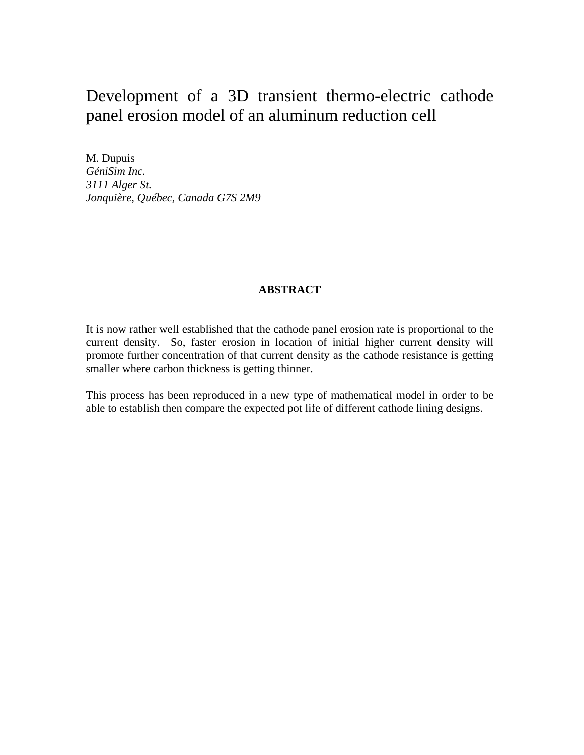# Development of a 3D transient thermo-electric cathode panel erosion model of an aluminum reduction cell

M. Dupuis *GéniSim Inc. 3111 Alger St. Jonquière, Québec, Canada G7S 2M9*

# **ABSTRACT**

It is now rather well established that the cathode panel erosion rate is proportional to the current density. So, faster erosion in location of initial higher current density will promote further concentration of that current density as the cathode resistance is getting smaller where carbon thickness is getting thinner.

This process has been reproduced in a new type of mathematical model in order to be able to establish then compare the expected pot life of different cathode lining designs.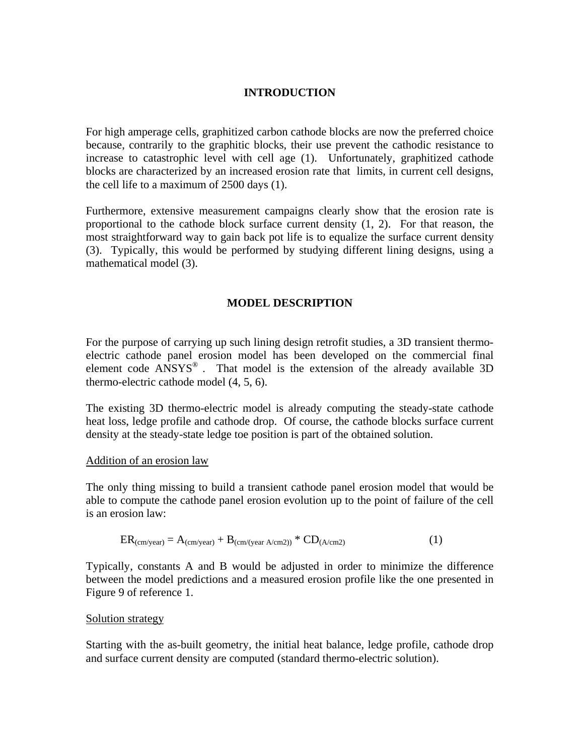# **INTRODUCTION**

For high amperage cells, graphitized carbon cathode blocks are now the preferred choice because, contrarily to the graphitic blocks, their use prevent the cathodic resistance to increase to catastrophic level with cell age (1). Unfortunately, graphitized cathode blocks are characterized by an increased erosion rate that limits, in current cell designs, the cell life to a maximum of 2500 days (1).

Furthermore, extensive measurement campaigns clearly show that the erosion rate is proportional to the cathode block surface current density (1, 2). For that reason, the most straightforward way to gain back pot life is to equalize the surface current density (3). Typically, this would be performed by studying different lining designs, using a mathematical model (3).

## **MODEL DESCRIPTION**

For the purpose of carrying up such lining design retrofit studies, a 3D transient thermoelectric cathode panel erosion model has been developed on the commercial final element code  $ANSYS<sup>®</sup>$ . That model is the extension of the already available 3D thermo-electric cathode model (4, 5, 6).

The existing 3D thermo-electric model is already computing the steady-state cathode heat loss, ledge profile and cathode drop. Of course, the cathode blocks surface current density at the steady-state ledge toe position is part of the obtained solution.

### Addition of an erosion law

The only thing missing to build a transient cathode panel erosion model that would be able to compute the cathode panel erosion evolution up to the point of failure of the cell is an erosion law:

$$
ER_{(cm/year)} = A_{(cm/year)} + B_{(cm/(year A/cm2))} * CD_{(A/cm2)}
$$
 (1)

Typically, constants A and B would be adjusted in order to minimize the difference between the model predictions and a measured erosion profile like the one presented in Figure 9 of reference 1.

### Solution strategy

Starting with the as-built geometry, the initial heat balance, ledge profile, cathode drop and surface current density are computed (standard thermo-electric solution).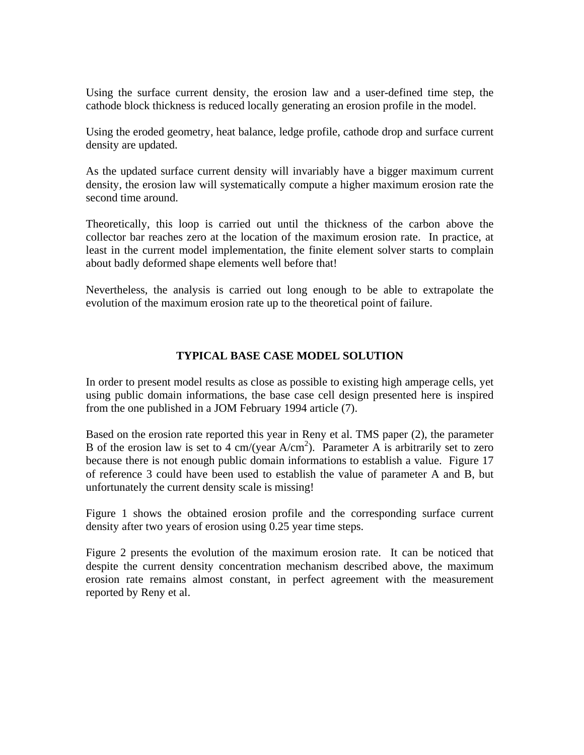Using the surface current density, the erosion law and a user-defined time step, the cathode block thickness is reduced locally generating an erosion profile in the model.

Using the eroded geometry, heat balance, ledge profile, cathode drop and surface current density are updated.

As the updated surface current density will invariably have a bigger maximum current density, the erosion law will systematically compute a higher maximum erosion rate the second time around.

Theoretically, this loop is carried out until the thickness of the carbon above the collector bar reaches zero at the location of the maximum erosion rate. In practice, at least in the current model implementation, the finite element solver starts to complain about badly deformed shape elements well before that!

Nevertheless, the analysis is carried out long enough to be able to extrapolate the evolution of the maximum erosion rate up to the theoretical point of failure.

## **TYPICAL BASE CASE MODEL SOLUTION**

In order to present model results as close as possible to existing high amperage cells, yet using public domain informations, the base case cell design presented here is inspired from the one published in a JOM February 1994 article (7).

Based on the erosion rate reported this year in Reny et al. TMS paper (2), the parameter B of the erosion law is set to 4 cm/(year  $A/cm<sup>2</sup>$ ). Parameter A is arbitrarily set to zero because there is not enough public domain informations to establish a value. Figure 17 of reference 3 could have been used to establish the value of parameter A and B, but unfortunately the current density scale is missing!

Figure 1 shows the obtained erosion profile and the corresponding surface current density after two years of erosion using 0.25 year time steps.

Figure 2 presents the evolution of the maximum erosion rate. It can be noticed that despite the current density concentration mechanism described above, the maximum erosion rate remains almost constant, in perfect agreement with the measurement reported by Reny et al.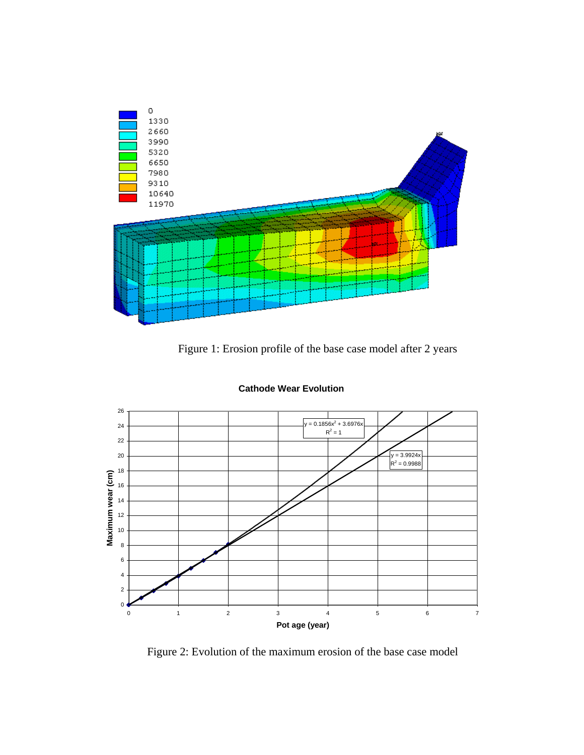

Figure 1: Erosion profile of the base case model after 2 years



**Cathode Wear Evolution**

Figure 2: Evolution of the maximum erosion of the base case model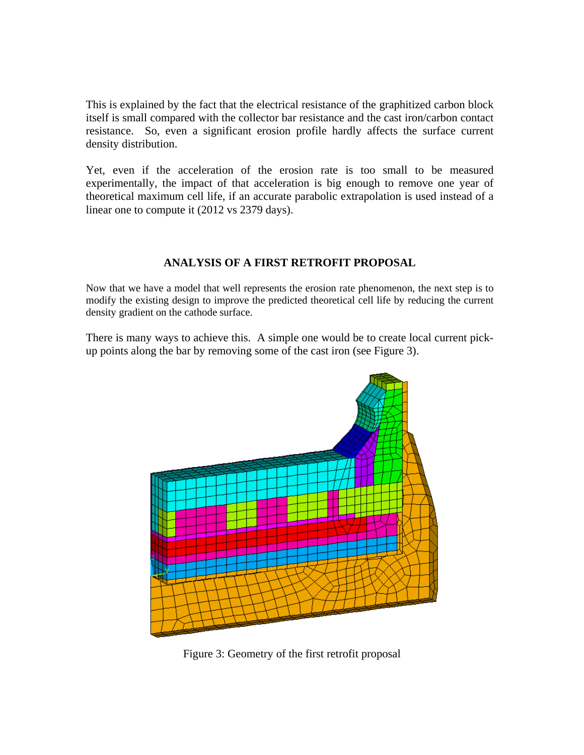This is explained by the fact that the electrical resistance of the graphitized carbon block itself is small compared with the collector bar resistance and the cast iron/carbon contact resistance. So, even a significant erosion profile hardly affects the surface current density distribution.

Yet, even if the acceleration of the erosion rate is too small to be measured experimentally, the impact of that acceleration is big enough to remove one year of theoretical maximum cell life, if an accurate parabolic extrapolation is used instead of a linear one to compute it (2012 vs 2379 days).

# **ANALYSIS OF A FIRST RETROFIT PROPOSAL**

Now that we have a model that well represents the erosion rate phenomenon, the next step is to modify the existing design to improve the predicted theoretical cell life by reducing the current density gradient on the cathode surface.

There is many ways to achieve this. A simple one would be to create local current pickup points along the bar by removing some of the cast iron (see Figure 3).



Figure 3: Geometry of the first retrofit proposal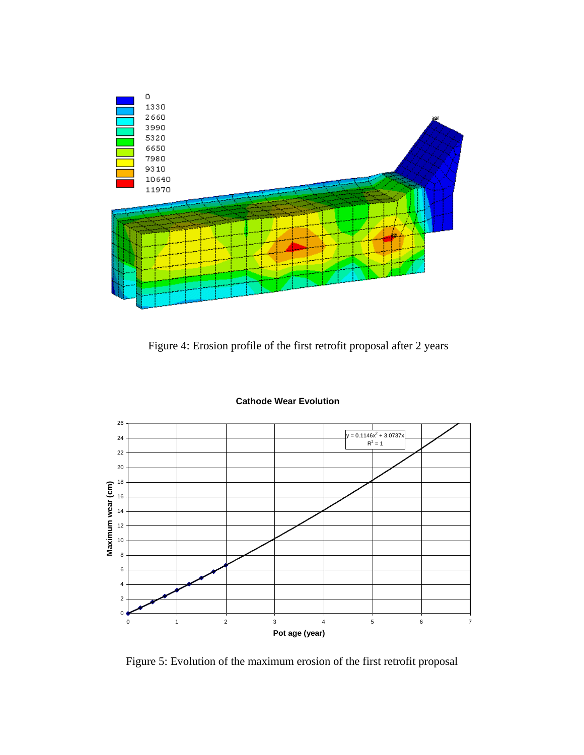

Figure 4: Erosion profile of the first retrofit proposal after 2 years



#### **Cathode Wear Evolution**

Figure 5: Evolution of the maximum erosion of the first retrofit proposal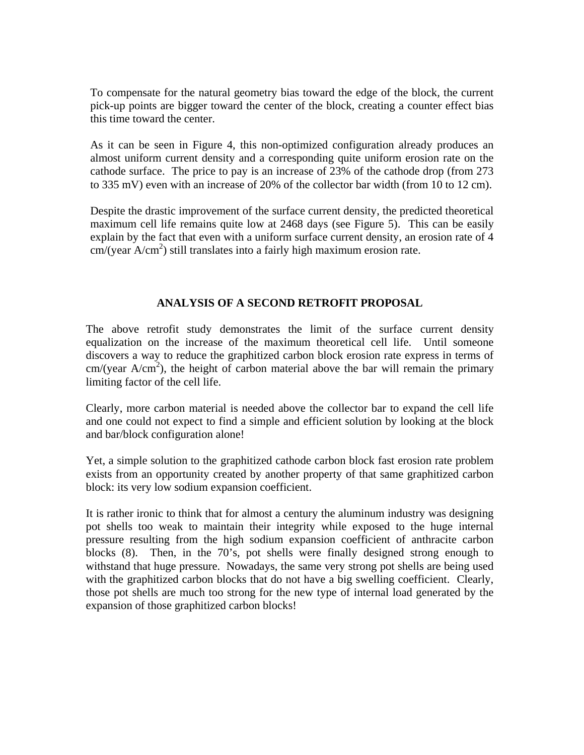To compensate for the natural geometry bias toward the edge of the block, the current pick-up points are bigger toward the center of the block, creating a counter effect bias this time toward the center.

As it can be seen in Figure 4, this non-optimized configuration already produces an almost uniform current density and a corresponding quite uniform erosion rate on the cathode surface. The price to pay is an increase of 23% of the cathode drop (from 273 to 335 mV) even with an increase of 20% of the collector bar width (from 10 to 12 cm).

Despite the drastic improvement of the surface current density, the predicted theoretical maximum cell life remains quite low at 2468 days (see Figure 5). This can be easily explain by the fact that even with a uniform surface current density, an erosion rate of 4  $cm/(year A/cm<sup>2</sup>)$  still translates into a fairly high maximum erosion rate.

# **ANALYSIS OF A SECOND RETROFIT PROPOSAL**

The above retrofit study demonstrates the limit of the surface current density equalization on the increase of the maximum theoretical cell life. Until someone discovers a way to reduce the graphitized carbon block erosion rate express in terms of  $cm/(year A/cm<sup>2</sup>)$ , the height of carbon material above the bar will remain the primary limiting factor of the cell life.

Clearly, more carbon material is needed above the collector bar to expand the cell life and one could not expect to find a simple and efficient solution by looking at the block and bar/block configuration alone!

Yet, a simple solution to the graphitized cathode carbon block fast erosion rate problem exists from an opportunity created by another property of that same graphitized carbon block: its very low sodium expansion coefficient.

It is rather ironic to think that for almost a century the aluminum industry was designing pot shells too weak to maintain their integrity while exposed to the huge internal pressure resulting from the high sodium expansion coefficient of anthracite carbon blocks (8). Then, in the 70's, pot shells were finally designed strong enough to withstand that huge pressure. Nowadays, the same very strong pot shells are being used with the graphitized carbon blocks that do not have a big swelling coefficient. Clearly, those pot shells are much too strong for the new type of internal load generated by the expansion of those graphitized carbon blocks!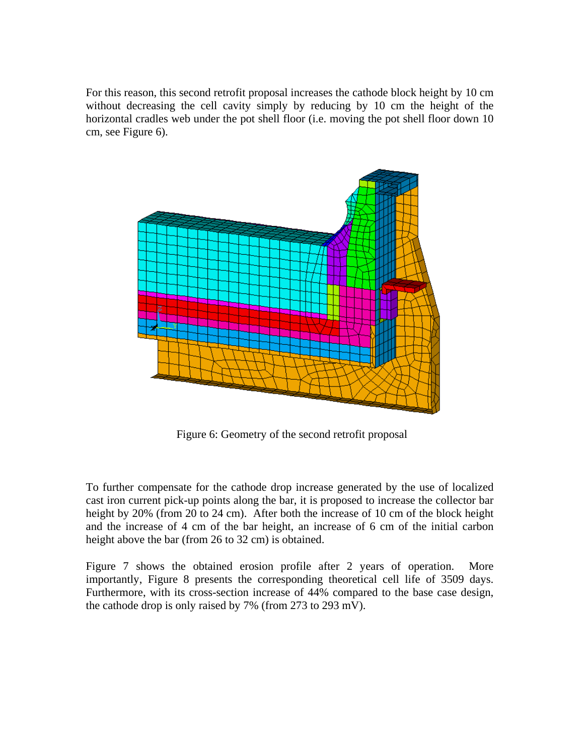For this reason, this second retrofit proposal increases the cathode block height by 10 cm without decreasing the cell cavity simply by reducing by 10 cm the height of the horizontal cradles web under the pot shell floor (i.e. moving the pot shell floor down 10 cm, see Figure 6).



Figure 6: Geometry of the second retrofit proposal

To further compensate for the cathode drop increase generated by the use of localized cast iron current pick-up points along the bar, it is proposed to increase the collector bar height by 20% (from 20 to 24 cm). After both the increase of 10 cm of the block height and the increase of 4 cm of the bar height, an increase of 6 cm of the initial carbon height above the bar (from 26 to 32 cm) is obtained.

Figure 7 shows the obtained erosion profile after 2 years of operation. More importantly, Figure 8 presents the corresponding theoretical cell life of 3509 days. Furthermore, with its cross-section increase of 44% compared to the base case design, the cathode drop is only raised by 7% (from 273 to 293 mV).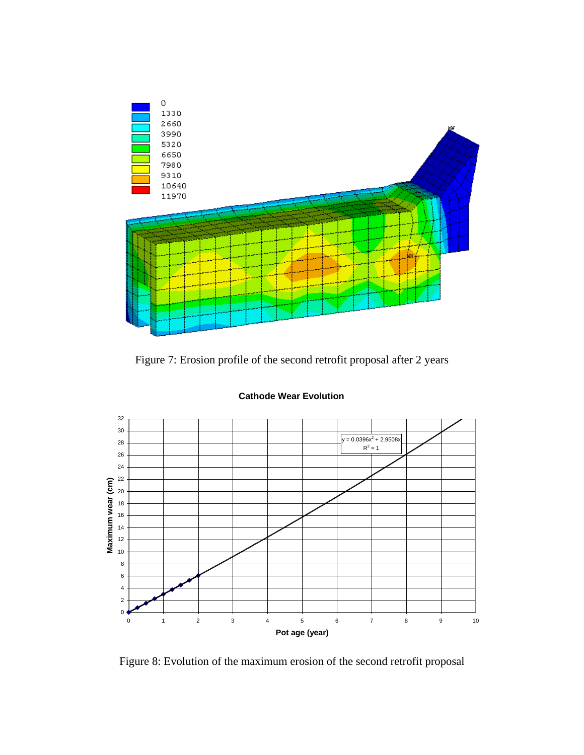

Figure 7: Erosion profile of the second retrofit proposal after 2 years



**Cathode Wear Evolution**

Figure 8: Evolution of the maximum erosion of the second retrofit proposal